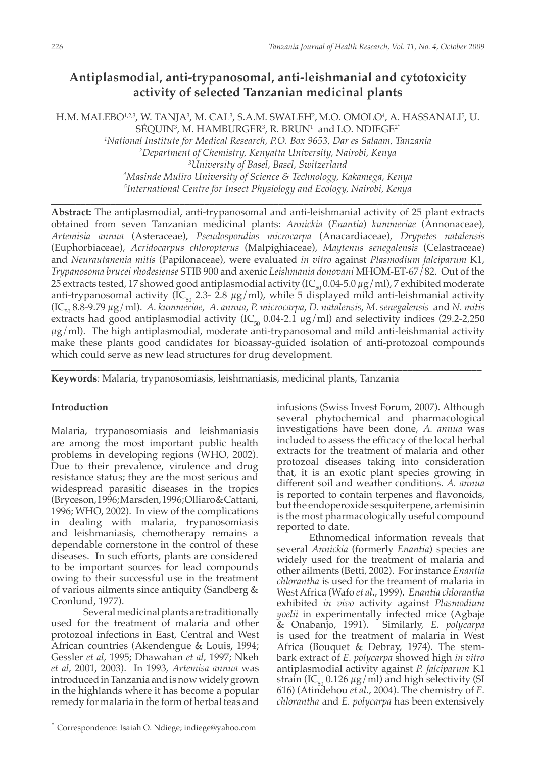# **Antiplasmodial, anti-trypanosomal, anti-leishmanial and cytotoxicity activity of selected Tanzanian medicinal plants**

H.M. MALEBO1,2,3, W. TANJA3, M. CAL3, S.A.M. SWALEH2, M.O. OMOLO4, A. HASSANALI<sup>5</sup>, U.  $\rm SEQUIN^3$ , M.  $\rm HAMBURGER^3$ , R. BRUN $^1$  and I.O.  $\rm NDIEGE^{2*}$ *1 National Institute for Medical Research, P.O. Box 9653, Dar es Salaam, Tanzania*

 *Department of Chemistry, Kenyatta University, Nairobi, Kenya University of Basel, Basel, Switzerland Masinde Muliro University of Science & Technology, Kakamega, Kenya International Centre for Insect Physiology and Ecology, Nairobi, Kenya*

**\_\_\_\_\_\_\_\_\_\_\_\_\_\_\_\_\_\_\_\_\_\_\_\_\_\_\_\_\_\_\_\_\_\_\_\_\_\_\_\_\_\_\_\_\_\_\_\_\_\_\_\_\_\_\_\_\_\_\_\_\_\_\_\_\_\_\_\_\_\_\_\_\_\_\_\_\_\_\_\_\_\_\_\_\_\_\_**

**Abstract:** The antiplasmodial, anti-trypanosomal and anti-leishmanial activity of 25 plant extracts obtained from seven Tanzanian medicinal plants: *Annickia* (*Enantia*) *kummeriae* (Annonaceae), *Artemisia annua* (Asteraceae), *Pseudospondias microcarpa* (Anacardiaceae), *Drypetes natalensis* (Euphorbiaceae), *Acridocarpus chloropterus* (Malpighiaceae), *Maytenus senegalensis* (Celastraceae) and *Neurautanenia mitis* (Papilonaceae), were evaluated *in vitro* against *Plasmodium falciparum* K1, *Trypanosoma brucei rhodesiense* STIB 900 and axenic *Leishmania donovani* MHOM-ET-67/82. Out of the 25 extracts tested, 17 showed good antiplasmodial activity ( $IC_{50}$  0.04-5.0  $\mu$ g/ml), 7 exhibited moderate anti-trypanosomal activity (IC<sub>50</sub> 2.3- 2.8  $\mu$ g/ml), while 5 displayed mild anti-leishmanial activity (IC50 8.8-9.79 µg/ml). *A. kummeriae, A. annua*, *P. microcarpa*, *D. natalensis*, *M. senegalensis* and *N. mitis*  extracts had good antiplasmodial activity (IC $_{50}$  0.04-2.1  $\mu$ g/ml) and selectivity indices (29.2-2,250  $\mu$ g/ml). The high antiplasmodial, moderate anti-trypanosomal and mild anti-leishmanial activity make these plants good candidates for bioassay-guided isolation of anti-protozoal compounds which could serve as new lead structures for drug development.

\_\_\_\_\_\_\_\_\_\_\_\_\_\_\_\_\_\_\_\_\_\_\_\_\_\_\_\_\_\_\_\_\_\_\_\_\_\_\_\_\_\_\_\_\_\_\_\_\_\_\_\_\_\_\_\_\_\_\_\_\_\_\_\_\_\_\_\_\_\_\_\_\_\_\_\_\_\_\_\_\_\_\_\_\_\_\_

**Keywords***:* Malaria, trypanosomiasis, leishmaniasis, medicinal plants, Tanzania

## **Introduction**

Malaria, trypanosomiasis and leishmaniasis are among the most important public health problems in developing regions (WHO, 2002). Due to their prevalence, virulence and drug resistance status; they are the most serious and widespread parasitic diseases in the tropics (Bryceson, 1996; Marsden, 1996; Olliaro & Cattani, 1996; WHO, 2002). In view of the complications in dealing with malaria, trypanosomiasis and leishmaniasis, chemotherapy remains a dependable cornerstone in the control of these diseases. In such efforts, plants are considered to be important sources for lead compounds owing to their successful use in the treatment of various ailments since antiquity (Sandberg & Cronlund, 1977).

Several medicinal plants are traditionally used for the treatment of malaria and other protozoal infections in East, Central and West African countries (Akendengue & Louis, 1994; Gessler *et al*, 1995; Dhawahan *et al*, 1997; Nkeh *et al*, 2001, 2003). In 1993, *Artemisa annua* was introduced in Tanzania and is now widely grown in the highlands where it has become a popular remedy for malaria in the form of herbal teas and

infusions (Swiss Invest Forum, 2007). Although several phytochemical and pharmacological investigations have been done, *A. annua* was included to assess the efficacy of the local herbal extracts for the treatment of malaria and other protozoal diseases taking into consideration that, it is an exotic plant species growing in different soil and weather conditions. *A. annua* is reported to contain terpenes and flavonoids, but the endoperoxide sesquiterpene, artemisinin is the most pharmacologically useful compound reported to date.

Ethnomedical information reveals that several *Annickia* (formerly *Enantia*) species are widely used for the treatment of malaria and other ailments (Betti, 2002). For instance *Enantia chlorantha* is used for the treament of malaria in West Africa (Wafo *et al*., 1999). *Enantia chlorantha*  exhibited *in vivo* activity against *Plasmodium yoelii* in experimentally infected mice (Agbaje & Onabanjo, 1991). Similarly, *E. polycarpa*  is used for the treatment of malaria in West Africa (Bouquet & Debray, 1974). The stembark extract of *E. polycarpa* showed high *in vitro*  antiplasmodial activity against *P. falciparum* K1 strain (IC<sub>50</sub> 0.126  $\mu$ g/ml) and high selectivity (SI 616) (Atindehou *et al*., 2004). The chemistry of *E. chlorantha* and *E. polycarpa* has been extensively

<sup>\*</sup> Correspondence: Isaiah O. Ndiege; indiege@yahoo.com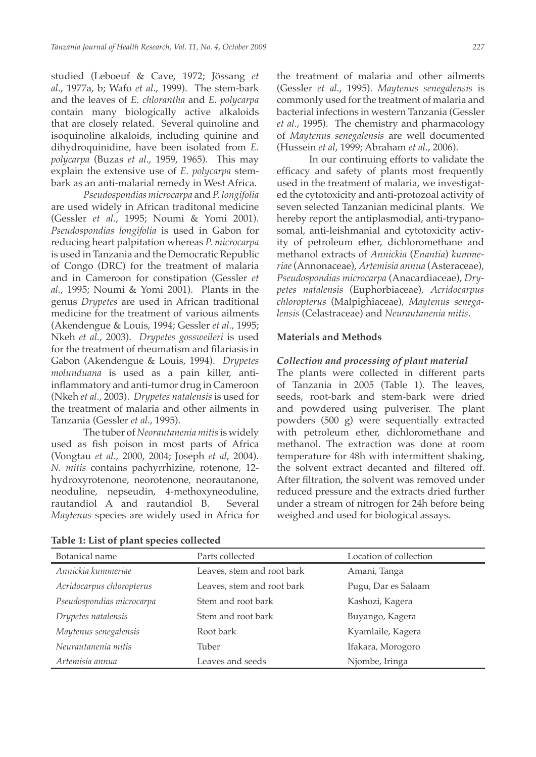studied (Leboeuf & Cave, 1972; Jössang *et al*., 1977a, b; Wafo *et al*., 1999). The stem-bark and the leaves of *E. chlorantha* and *E. polycarpa*  contain many biologically active alkaloids that are closely related. Several quinoline and isoquinoline alkaloids, including quinine and dihydroquinidine, have been isolated from *E. polycarpa* (Buzas *et al*., 1959, 1965). This may explain the extensive use of *E. polycarpa* stembark as an anti-malarial remedy in West Africa.

*Pseudospondias microcarpa* and *P. longifolia* are used widely in African traditonal medicine (Gessler *et al.*, 1995; Noumi & Yomi 2001). *Pseudospondias longifolia* is used in Gabon for reducing heart palpitation whereas *P. microcarpa* is used in Tanzania and the Democratic Republic of Congo (DRC) for the treatment of malaria and in Cameroon for constipation (Gessler *et al.*, 1995; Noumi & Yomi 2001). Plants in the genus *Drypetes* are used in African traditional medicine for the treatment of various ailments (Akendengue & Louis, 1994; Gessler *et al.*, 1995; Nkeh *et al.*, 2003). *Drypetes gossweileri* is used for the treatment of rheumatism and filariasis in Gabon (Akendengue & Louis, 1994). *Drypetes molunduana* is used as a pain killer, antiinflammatory and anti-tumor drug in Cameroon (Nkeh *et al.*, 2003). *Drypetes natalensis* is used for the treatment of malaria and other ailments in Tanzania (Gessler *et al.*, 1995).

The tuber of *Neorautanenia mitis* is widely used as fish poison in most parts of Africa (Vongtau *et al*., 2000, 2004; Joseph *et al*, 2004). *N. mitis* contains pachyrrhizine, rotenone, 12 hydroxyrotenone, neorotenone, neorautanone, neoduline, nepseudin, 4-methoxyneoduline, rautandiol A and rautandiol B. Several *Maytenus* species are widely used in Africa for

|  |  |  |  |  |  |  | <b>Table 1: List of plant species collected</b> |  |  |  |  |
|--|--|--|--|--|--|--|-------------------------------------------------|--|--|--|--|
|--|--|--|--|--|--|--|-------------------------------------------------|--|--|--|--|

the treatment of malaria and other ailments (Gessler *et al.*, 1995). *Maytenus senegalensis* is commonly used for the treatment of malaria and bacterial infections in western Tanzania (Gessler *et al.*, 1995). The chemistry and pharmacology of *Maytenus senegalensis* are well documented (Hussein *et al*, 1999; Abraham *et al*., 2006).

In our continuing efforts to validate the efficacy and safety of plants most frequently used in the treatment of malaria, we investigated the cytotoxicity and anti-protozoal activity of seven selected Tanzanian medicinal plants. We hereby report the antiplasmodial, anti-trypanosomal, anti-leishmanial and cytotoxicity activity of petroleum ether, dichloromethane and methanol extracts of *Annickia* (*Enantia*) *kummeriae* (Annonaceae), *Artemisia annua* (Asteraceae), *Pseudospondias microcarpa* (Anacardiaceae), *Drypetes natalensis* (Euphorbiaceae), *Acridocarpus chloropterus* (Malpighiaceae), *Maytenus senegalensis* (Celastraceae) and *Neurautanenia mitis*.

### **Materials and Methods**

#### *Collection and processing of plant material*

The plants were collected in different parts of Tanzania in 2005 (Table 1). The leaves, seeds, root-bark and stem-bark were dried and powdered using pulveriser. The plant powders (500 g) were sequentially extracted with petroleum ether, dichloromethane and methanol. The extraction was done at room temperature for 48h with intermittent shaking, the solvent extract decanted and filtered off. After filtration, the solvent was removed under reduced pressure and the extracts dried further under a stream of nitrogen for 24h before being weighed and used for biological assays.

| Botanical name            | Parts collected            | Location of collection |
|---------------------------|----------------------------|------------------------|
| Annickia kummeriae        | Leaves, stem and root bark | Amani, Tanga           |
| Acridocarpus chloropterus | Leaves, stem and root bark | Pugu, Dar es Salaam    |
| Pseudospondias microcarpa | Stem and root bark         | Kashozi, Kagera        |
| Drypetes natalensis       | Stem and root bark         | Buyango, Kagera        |
| Maytenus senegalensis     | Root bark                  | Kyamlaile, Kagera      |
| Neurautanenia mitis       | Tuber                      | Ifakara, Morogoro      |
| Artemisia annua           | Leaves and seeds           | Njombe, Iringa         |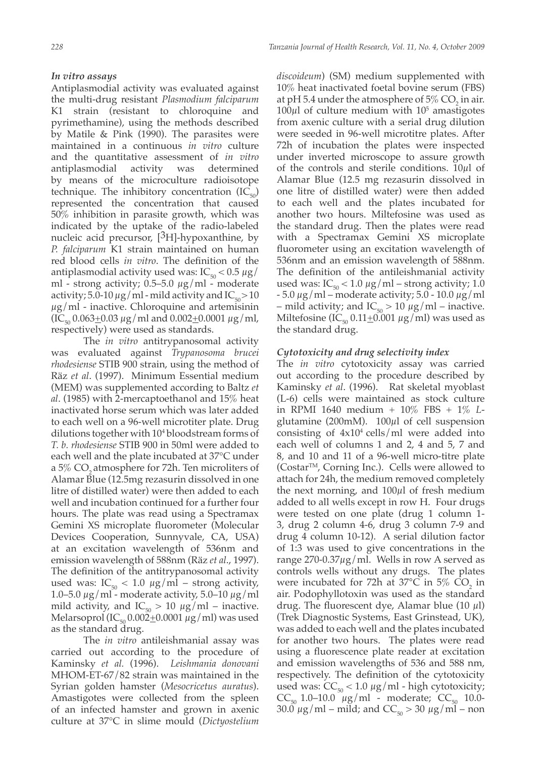## *In vitro assays*

Antiplasmodial activity was evaluated against the multi-drug resistant *Plasmodium falciparum* K1 strain (resistant to chloroquine and pyrimethamine), using the methods described by Matile & Pink (1990). The parasites were maintained in a continuous *in vitro* culture and the quantitative assessment of *in vitro* antiplasmodial activity was determined by means of the microculture radioisotope technique. The inhibitory concentration  $(IC_{50})$ represented the concentration that caused 50% inhibition in parasite growth, which was indicated by the uptake of the radio-labeled nucleic acid precursor,  $[<sup>3</sup>H]$ -hypoxanthine, by *P. falciparum* K1 strain maintained on human red blood cells *in vitro*. The definition of the antiplasmodial activity used was:  $IC_{50} < 0.5 \mu g$ / ml - strong activity;  $0.5-5.0 \mu g/ml$  - moderate activity; 5.0-10  $\mu$ g/ml - mild activity and IC<sub>50</sub> > 10  $\mu$ g/ml - inactive. Chloroquine and artemisinin  $(IC_{50} 0.063 \pm 0.03 \,\mu g/ml$  and  $0.002 \pm 0.0001 \,\mu g/ml$ , respectively) were used as standards.

The *in vitro* antitrypanosomal activity was evaluated against *Trypanosoma brucei rhodesiense* STIB 900 strain, using the method of Räz *et al*. (1997). Minimum Essential medium (MEM) was supplemented according to Baltz *et al*. (1985) with 2-mercaptoethanol and 15% heat inactivated horse serum which was later added to each well on a 96-well microtiter plate. Drug dilutions together with 104 bloodstream forms of *T. b. rhodesiense* STIB 900 in 50ml were added to each well and the plate incubated at 37°C under a  $5\%$  CO<sub>2</sub> atmosphere for 72h. Ten microliters of Alamar Blue (12.5mg rezasurin dissolved in one litre of distilled water) were then added to each well and incubation continued for a further four hours. The plate was read using a Spectramax Gemini XS microplate fluorometer (Molecular Devices Cooperation, Sunnyvale, CA, USA) at an excitation wavelength of 536nm and emission wavelength of 588nm (Räz *et al*., 1997). The definition of the antitrypanosomal activity used was:  $IC_{50} < 1.0 \mu g/ml -$  strong activity, 1.0–5.0  $\mu$ g/ml - moderate activity, 5.0–10  $\mu$ g/ml mild activity, and  $IC_{50} > 10 \mu g/ml$  – inactive. Melarsoprol (IC<sub>50</sub> 0.002<sup> $\pm$ 0.0001  $\mu$ g/ml) was used</sup> as the standard drug.

The *in vitro* antileishmanial assay was carried out according to the procedure of Kaminsky *et al.* (1996). *Leishmania donovani* MHOM-ET-67/82 strain was maintained in the Syrian golden hamster (*Mesocricetus auratus*). Amastigotes were collected from the spleen of an infected hamster and grown in axenic culture at 37°C in slime mould (*Dictyostelium* 

*discoideum*) (SM) medium supplemented with 10% heat inactivated foetal bovine serum (FBS) at pH 5.4 under the atmosphere of  $5\%$  CO<sub>2</sub> in air.  $100\mu$ l of culture medium with  $10^5$  amastigotes from axenic culture with a serial drug dilution were seeded in 96-well microtitre plates. After 72h of incubation the plates were inspected under inverted microscope to assure growth of the controls and sterile conditions. 10µl of Alamar Blue (12.5 mg rezasurin dissolved in one litre of distilled water) were then added to each well and the plates incubated for another two hours. Miltefosine was used as the standard drug. Then the plates were read with a Spectramax Gemini XS microplate fluorometer using an excitation wavelength of 536nm and an emission wavelength of 588nm. The definition of the antileishmanial activity used was:  $IC_{50}$  < 1.0  $\mu$ g/ml – strong activity; 1.0  $-5.0 \mu g/ml$  – moderate activity; 5.0 - 10.0  $\mu g/ml$ – mild activity; and  $IC_{50} > 10 \mu g/ml$  – inactive. Miltefosine (IC<sub>50</sub> 0.11 $\pm$ 0.001  $\mu$ g/ml) was used as the standard drug.

## *Cytotoxicity and drug selectivity index*

The *in vitro* cytotoxicity assay was carried out according to the procedure described by Kaminsky *et al*. (1996). Rat skeletal myoblast (L-6) cells were maintained as stock culture in RPMI 1640 medium + 10% FBS + 1% *L*glutamine (200mM).  $100\mu$ l of cell suspension consisting of  $4x10^4$  cells/ml were added into each well of columns 1 and 2, 4 and 5, 7 and 8, and 10 and 11 of a 96-well micro-titre plate  $(Costar<sup>TM</sup>, Corning Inc.).$  Cells were allowed to attach for 24h, the medium removed completely the next morning, and 100µl of fresh medium added to all wells except in row H. Four drugs were tested on one plate (drug 1 column 1- 3, drug 2 column 4-6, drug 3 column 7-9 and drug 4 column 10-12). A serial dilution factor of 1:3 was used to give concentrations in the range  $270-0.37\mu$ g/ml. Wells in row A served as controls wells without any drugs. The plates were incubated for 72h at 37 $^{\circ}$ C in 5% CO<sub>2</sub> in air. Podophyllotoxin was used as the standard drug. The fluorescent dye, Alamar blue (10  $\mu$ l) (Trek Diagnostic Systems, East Grinstead, UK), was added to each well and the plates incubated for another two hours. The plates were read using a fluorescence plate reader at excitation and emission wavelengths of 536 and 588 nm, respectively. The definition of the cytotoxicity used was:  $CC_{50}$  < 1.0  $\mu$ g/ml - high cytotoxicity;  $CC_{50}$  1.0–10.0  $\mu$ g/ml - moderate;  $CC_{50}$  10.0- $30.\overline{0} \ \mu g/ml$  – mild; and  $CC_{50} > 30 \ \mu g/ml$  – non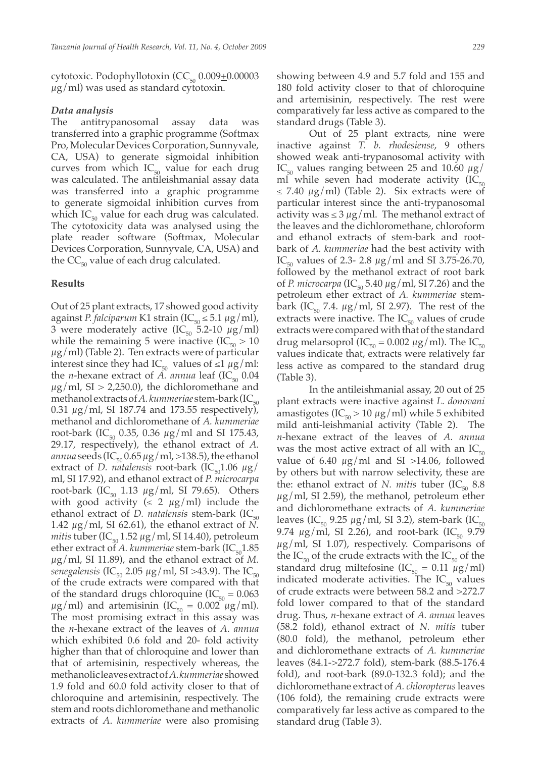cytotoxic. Podophyllotoxin  $(CC<sub>50</sub> 0.009<sub>±</sub>0.00003$  $\mu$ g/ml) was used as standard cytotoxin.

#### *Data analysis*

The antitrypanosomal assay data was transferred into a graphic programme (Softmax Pro, Molecular Devices Corporation, Sunnyvale, CA, USA) to generate sigmoidal inhibition curves from which  $IC_{50}$  value for each drug was calculated. The antileishmanial assay data was transferred into a graphic programme to generate sigmoidal inhibition curves from which  $IC_{50}$  value for each drug was calculated. The cytotoxicity data was analysed using the plate reader software (Softmax, Molecular Devices Corporation, Sunnyvale, CA, USA) and the  $CC_{50}$  value of each drug calculated.

### **Results**

Out of 25 plant extracts, 17 showed good activity against *P. falciparum* K1 strain (IC<sub>50</sub>  $\leq$  5.1  $\mu$ g/ml), 3 were moderately active  $(IC_{50} \tilde{5}.2-10 \mu g/ml)$ while the remaining 5 were inactive (IC<sub>50</sub> > 10  $\mu$ g/ml) (Table 2). Ten extracts were of particular interest since they had IC<sub>50</sub> values of ≤1  $\mu$ g/ml: the *n*-hexane extract of *A. annua* leaf  $(IC_{50} 0.04)$  $\mu$ g/ml, SI > 2,250.0), the dichloromethane and methanol extracts of *A. kummeriae* stem-bark (IC<sub>50</sub>) 0.31  $\mu$ g/ml, SI 187.74 and 173.55 respectively), methanol and dichloromethane of *A. kummeriae* root-bark (IC<sub>50</sub> 0.35, 0.36  $\mu$ g/ml and SI 175.43, 29.17, respectively), the ethanol extract of *A. annua* seeds (IC<sub>50</sub> 0.65  $\mu$ g/ml, >138.5), the ethanol extract of *D. natalensis* root-bark  $(IC_{50}1.06 \mu g)$ ml, SI 17.92), and ethanol extract of *P. microcarpa* root-bark (IC<sub>50</sub> 1.13  $\mu$ g/ml, SI 79.65). Others with good activity ( $\leq 2 \mu g/ml$ ) include the ethanol extract of *D. natalensis* stem-bark  $(IC_{50})$ 1.42  $\mu$ g/ml, SI 62.61), the ethanol extract of *N*. *mitis* tuber (IC<sub>50</sub> 1.52  $\mu$ g/ml, SI 14.40), petroleum ether extract of *A. kummeriae* stem-bark  $(IC_{50}1.85)$ µg/ml, SI 11.89), and the ethanol extract of *M. senegalensis* (IC<sub>50</sub> 2.05  $\mu$ g/ml, SI >43.9). The IC<sub>50</sub> of the crude extracts were compared with that of the standard drugs chloroquine ( $IC_{50} = 0.063$  $\mu$ g/ml) and artemisinin (IC<sub>50</sub> = 0.002  $\mu$ g/ml). The most promising extract in this assay was the *n*-hexane extract of the leaves of *A*. *annua* which exhibited 0.6 fold and 20- fold activity higher than that of chloroquine and lower than that of artemisinin, respectively whereas, the methanolic leaves extract of *A*. *kummeriae* showed 1.9 fold and 60.0 fold activity closer to that of chloroquine and artemisinin, respectively. The stem and roots dichloromethane and methanolic extracts of *A*. *kummeriae* were also promising

showing between 4.9 and 5.7 fold and 155 and 180 fold activity closer to that of chloroquine and artemisinin, respectively. The rest were comparatively far less active as compared to the standard drugs (Table 3).

Out of 25 plant extracts, nine were inactive against *T. b. rhodesiense*, 9 others showed weak anti-trypanosomal activity with IC<sub>50</sub> values ranging between 25 and 10.60  $\mu$ g/ ml while seven had moderate activity  $(IC_{50})$  $\leq$  7.40  $\mu$ g/ml) (Table 2). Six extracts were of particular interest since the anti-trypanosomal activity was  $\leq$  3  $\mu$ g/ml. The methanol extract of the leaves and the dichloromethane, chloroform and ethanol extracts of stem-bark and rootbark of *A. kummeriae* had the best activity with IC<sub>50</sub> values of 2.3- 2.8  $\mu$ g/ml and SI 3.75-26.70, followed by the methanol extract of root bark of *P. microcarpa* (IC<sub>50</sub> 5.40  $\mu$ g/ml, SI 7.26) and the petroleum ether extract of *A. kummeriae* stembark (IC<sub>50</sub> 7.4.  $\mu$ g/ml, SI 2.97). The rest of the extracts were inactive. The  $IC_{50}$  values of crude extracts were compared with that of the standard drug melarsoprol (IC<sub>50</sub> = 0.002  $\mu$ g/ml). The IC<sub>50</sub> values indicate that, extracts were relatively far less active as compared to the standard drug (Table 3).

In the antileishmanial assay, 20 out of 25 plant extracts were inactive against *L. donovani* amastigotes ( $IC_{50}$  > 10  $\mu$ g/ml) while 5 exhibited mild anti-leishmanial activity (Table 2). The *n*-hexane extract of the leaves of *A. annua*  was the most active extract of all with an  $IC_{50}$ value of 6.40  $\mu$ g/ml and SI >14.06, followed by others but with narrow selectivity, these are the: ethanol extract of *N. mitis* tuber  $(IC_{50} 8.8)$  $\mu$ g/ml, SI 2.59), the methanol, petroleum ether and dichloromethane extracts of *A. kummeriae*  leaves (IC<sub>50</sub> 9.25  $\mu$ g/ml, SI 3.2), stem-bark (IC<sub>50</sub> 9.74  $\mu$ g/ml, SI 2.26), and root-bark (IC<sub>50</sub> 9.79  $\mu$ g/ml, SI 1.07), respectively. Comparisons of the  $IC_{50}$  of the crude extracts with the  $IC_{50}$  of the standard drug miltefosine (IC<sub>50</sub> = 0.11  $\mu$ g/ml) indicated moderate activities. The  $IC_{50}$  values of crude extracts were between 58.2 and >272.7 fold lower compared to that of the standard drug. Thus, *n*-hexane extract of *A. annua* leaves (58.2 fold), ethanol extract of *N. mitis* tuber (80.0 fold), the methanol, petroleum ether and dichloromethane extracts of *A. kummeriae*  leaves (84.1->272.7 fold), stem-bark (88.5-176.4 fold), and root-bark (89.0-132.3 fold); and the dichloromethane extract of *A. chloropterus* leaves (106 fold), the remaining crude extracts were comparatively far less active as compared to the standard drug (Table 3).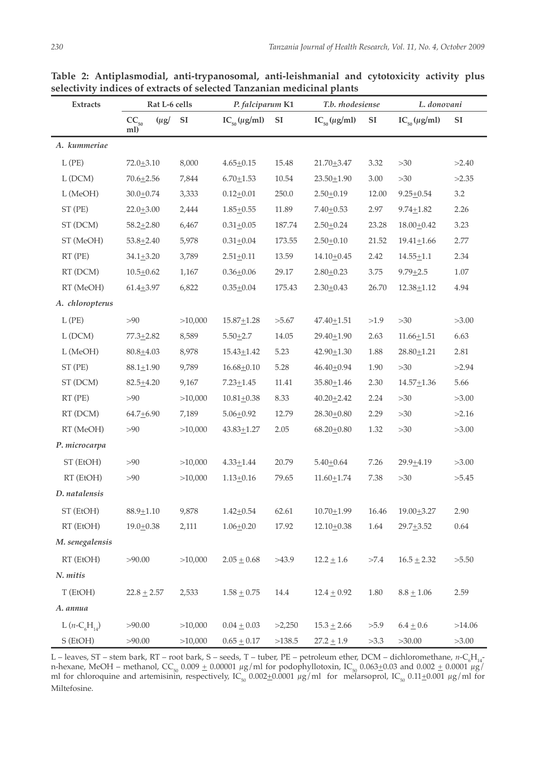| <b>Extracts</b>     |                  | Rat L-6 cells |                         | P. falciparum K1    |                   | T.b. rhodesiense    |            | L. donovani         |            |
|---------------------|------------------|---------------|-------------------------|---------------------|-------------------|---------------------|------------|---------------------|------------|
|                     | $CC_{50}$<br>ml) | $(\mu g)$     | $\mathbf{S} \mathbf{I}$ | $IC_{50}(\mu g/ml)$ | ${\bf S} {\bf I}$ | $IC_{50}(\mu g/ml)$ | ${\rm SI}$ | $IC_{50}(\mu g/ml)$ | ${\rm SI}$ |
| A. kummeriae        |                  |               |                         |                     |                   |                     |            |                     |            |
| $L$ (PE)            | $72.0 + 3.10$    |               | 8,000                   | $4.65 + 0.15$       | 15.48             | $21.70 + 3.47$      | 3.32       | $>30$               | >2.40      |
| L(DCM)              | $70.6 + 2.56$    |               | 7,844                   | $6.70 \pm 1.53$     | 10.54             | $23.50 + 1.90$      | 3.00       | >30                 | >2.35      |
| L (MeOH)            | $30.0 + 0.74$    |               | 3,333                   | $0.12 + 0.01$       | 250.0             | $2.50+0.19$         | 12.00      | $9.25 \pm 0.54$     | $3.2\,$    |
| ST (PE)             | $22.0 + 3.00$    |               | 2,444                   | $1.85 + 0.55$       | 11.89             | $7.40 \pm 0.53$     | 2.97       | $9.74 \pm 1.82$     | 2.26       |
| ST (DCM)            | $58.2 + 2.80$    |               | 6,467                   | $0.31 + 0.05$       | 187.74            | $2.50 + 0.24$       | 23.28      | $18.00 + 0.42$      | 3.23       |
| ST (MeOH)           | $53.8 + 2.40$    |               | 5,978                   | $0.31 \pm 0.04$     | 173.55            | $2.50 + 0.10$       | 21.52      | $19.41 \pm 1.66$    | 2.77       |
| $RT$ (PE)           | $34.1 + 3.20$    |               | 3,789                   | $2.51 + 0.11$       | 13.59             | $14.10 + 0.45$      | 2.42       | $14.55 + 1.1$       | 2.34       |
| RT (DCM)            | $10.5 + 0.62$    |               | 1,167                   | $0.36 + 0.06$       | 29.17             | $2.80 + 0.23$       | 3.75       | $9.79 + 2.5$        | $1.07\,$   |
| RT (MeOH)           | $61.4 + 3.97$    |               | 6,822                   | $0.35 + 0.04$       | 175.43            | $2.30 + 0.43$       | 26.70      | $12.38 + 1.12$      | 4.94       |
| A. chloropterus     |                  |               |                         |                     |                   |                     |            |                     |            |
| $L$ (PE)            | >90              |               | >10,000                 | $15.87 + 1.28$      | >5.67             | $47.40 \pm 1.51$    | >1.9       | >30                 | >3.00      |
| L (DCM)             | $77.3 + 2.82$    |               | 8,589                   | $5.50 + 2.7$        | 14.05             | $29.40 + 1.90$      | 2.63       | $11.66 + 1.51$      | 6.63       |
| L (MeOH)            | $80.8 + 4.03$    |               | 8,978                   | $15.43 \pm 1.42$    | 5.23              | $42.90 + 1.30$      | 1.88       | $28.80 + 1.21$      | 2.81       |
| ST (PE)             | $88.1 \pm 1.90$  |               | 9,789                   | $16.68 + 0.10$      | 5.28              | $46.40 \pm 0.94$    | 1.90       | $>30$               | >2.94      |
| ST (DCM)            | $82.5 + 4.20$    |               | 9,167                   | $7.23 \pm 1.45$     | 11.41             | $35.80 + 1.46$      | 2.30       | $14.57 + 1.36$      | 5.66       |
| $RT$ (PE)           | $>90$            |               | >10,000                 | $10.81 + 0.38$      | 8.33              | $40.20 + 2.42$      | 2.24       | $>30$               | >3.00      |
| RT (DCM)            | $64.7 + 6.90$    |               | 7,189                   | $5.06 + 0.92$       | 12.79             | $28.30 + 0.80$      | 2.29       | >30                 | >2.16      |
| RT (MeOH)           | $>90$            |               | >10,000                 | $43.83 \pm 1.27$    | 2.05              | $68.20 \pm 0.80$    | 1.32       | >30                 | >3.00      |
| P. microcarpa       |                  |               |                         |                     |                   |                     |            |                     |            |
| ST (EtOH)           | >90              |               | >10,000                 | $4.33 \pm 1.44$     | 20.79             | $5.40 + 0.64$       | 7.26       | $29.9 + 4.19$       | >3.00      |
| RT (EtOH)           | >90              |               | >10,000                 | $1.13 \pm 0.16$     | 79.65             | $11.60 \pm 1.74$    | 7.38       | $>30$               | >5.45      |
| D. natalensis       |                  |               |                         |                     |                   |                     |            |                     |            |
| ST (EtOH)           | $88.9 + 1.10$    |               | 9,878                   | $1.42 + 0.54$       | 62.61             | $10.70 + 1.99$      | 16.46      | $19.00 + 3.27$      | 2.90       |
| RT (EtOH)           | $19.0 + 0.38$    |               | 2,111                   | $1.06 + 0.20$       | 17.92             | $12.10 \pm 0.38$    | 1.64       | $29.7 + 3.52$       | $0.64\,$   |
| M. senegalensis     |                  |               |                         |                     |                   |                     |            |                     |            |
| RT (EtOH)           | >90.00           |               | >10,000                 | $2.05 \pm 0.68$     | >43.9             | $12.2 \pm 1.6$      | $>\!\!7.4$ | $16.5 \pm 2.32$     | >5.50      |
| N. mitis            |                  |               |                         |                     |                   |                     |            |                     |            |
| T (EtOH)            | $22.8 \pm 2.57$  |               | 2,533                   | $1.58 \pm 0.75$     | 14.4              | $12.4 \pm 0.92$     | $1.80\,$   | $8.8 \pm 1.06$      | 2.59       |
| A. annua            |                  |               |                         |                     |                   |                     |            |                     |            |
| L $(n - C_6H_{14})$ | >90.00           |               | >10,000                 | $0.04 \pm 0.03$     | >2,250            | $15.3 \pm 2.66$     | >5.9       | $6.4 \pm 0.6$       | >14.06     |
| S (EtOH)            | >90.00           |               | >10,000                 | $0.65 \pm 0.17$     | >138.5            | $27.2 \pm 1.9$      | >3.3       | >30.00              | >3.00      |

**Table 2: Antiplasmodial, anti-trypanosomal, anti-leishmanial and cytotoxicity activity plus selectivity indices of extracts of selected Tanzanian medicinal plants**

L – leaves, ST – stem bark, RT – root bark, S – seeds, T – tuber, PE – petroleum ether, DCM – dichloromethane, *n*-C<sub>6</sub>H<sub>14</sub>n-hexane, MeOH – methanol, CC<sub>50</sub> 0.009  $\pm$  0.00001  $\mu$ g/ml for podophyllotoxin, IC<sub>50</sub> 0.063 $\pm$ 0.03 and 0.002  $\pm$  0.0001  $\mu$ g/ ml for chloroquine and artemisinin, respectively, IC<sub>50</sub> 0.002 $\pm$ 0.0001  $\mu$ g/ml for melarsoprol, IC<sub>50</sub> 0.11 $\pm$ 0.001  $\mu$ g/ml for Miltefosine.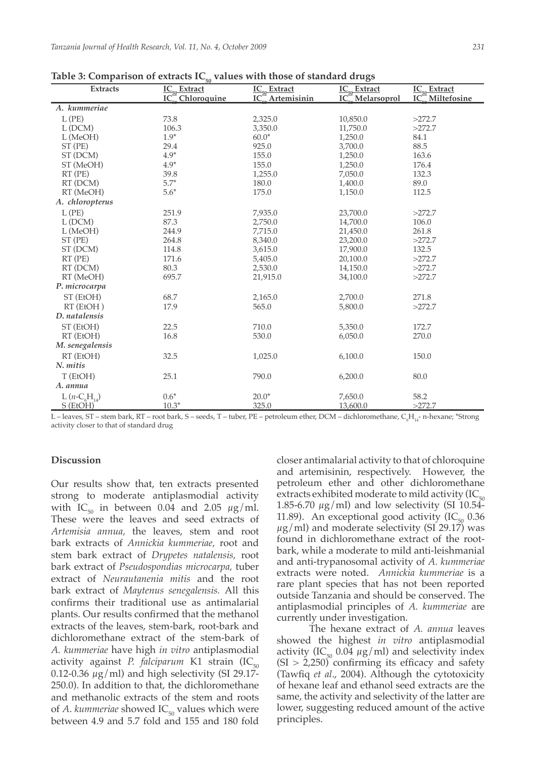| $\underline{\underline{\textbf{IC}}_{\underline{50}}$ Extract<br>$\underline{\text{IC}_{\underline{50}}$ Extract<br>IC <sub>2</sub> <sup>m</sup> Miltefosine<br>IC <sup>2</sup> Melarsoprol<br>IC <sub>2</sub> Chloroquine<br><b>Artemisinin</b><br>IC<br>A. kummeriae<br>$L$ (PE)<br>73.8<br>2,325.0<br>10,850.0<br>>272.7<br>>272.7<br>L(DCM)<br>106.3<br>3,350.0<br>11,750.0<br>$1.9*$<br>$60.0*$<br>84.1<br>L (MeOH)<br>1,250.0<br>88.5<br>ST (PE)<br>29.4<br>925.0<br>3,700.0<br>$4.9*$<br>ST (DCM)<br>155.0<br>1,250.0<br>163.6<br>$4.9*$<br>155.0<br>1,250.0<br>176.4<br>ST (MeOH)<br>39.8<br>132.3<br>$RT$ ( $PE$ )<br>1,255.0<br>7,050.0<br>$5.7*$<br>RT (DCM)<br>180.0<br>89.0<br>1,400.0<br>$5.6*$<br>RT (MeOH)<br>175.0<br>112.5<br>1,150.0<br>A. chloropterus<br>$L$ (PE)<br>251.9<br>7,935.0<br>23,700.0<br>>272.7<br>87.3<br>L (DCM)<br>2,750.0<br>14,700.0<br>106.0 |  |
|-------------------------------------------------------------------------------------------------------------------------------------------------------------------------------------------------------------------------------------------------------------------------------------------------------------------------------------------------------------------------------------------------------------------------------------------------------------------------------------------------------------------------------------------------------------------------------------------------------------------------------------------------------------------------------------------------------------------------------------------------------------------------------------------------------------------------------------------------------------------------------------|--|
|                                                                                                                                                                                                                                                                                                                                                                                                                                                                                                                                                                                                                                                                                                                                                                                                                                                                                     |  |
|                                                                                                                                                                                                                                                                                                                                                                                                                                                                                                                                                                                                                                                                                                                                                                                                                                                                                     |  |
|                                                                                                                                                                                                                                                                                                                                                                                                                                                                                                                                                                                                                                                                                                                                                                                                                                                                                     |  |
|                                                                                                                                                                                                                                                                                                                                                                                                                                                                                                                                                                                                                                                                                                                                                                                                                                                                                     |  |
|                                                                                                                                                                                                                                                                                                                                                                                                                                                                                                                                                                                                                                                                                                                                                                                                                                                                                     |  |
|                                                                                                                                                                                                                                                                                                                                                                                                                                                                                                                                                                                                                                                                                                                                                                                                                                                                                     |  |
|                                                                                                                                                                                                                                                                                                                                                                                                                                                                                                                                                                                                                                                                                                                                                                                                                                                                                     |  |
|                                                                                                                                                                                                                                                                                                                                                                                                                                                                                                                                                                                                                                                                                                                                                                                                                                                                                     |  |
|                                                                                                                                                                                                                                                                                                                                                                                                                                                                                                                                                                                                                                                                                                                                                                                                                                                                                     |  |
|                                                                                                                                                                                                                                                                                                                                                                                                                                                                                                                                                                                                                                                                                                                                                                                                                                                                                     |  |
|                                                                                                                                                                                                                                                                                                                                                                                                                                                                                                                                                                                                                                                                                                                                                                                                                                                                                     |  |
|                                                                                                                                                                                                                                                                                                                                                                                                                                                                                                                                                                                                                                                                                                                                                                                                                                                                                     |  |
|                                                                                                                                                                                                                                                                                                                                                                                                                                                                                                                                                                                                                                                                                                                                                                                                                                                                                     |  |
|                                                                                                                                                                                                                                                                                                                                                                                                                                                                                                                                                                                                                                                                                                                                                                                                                                                                                     |  |
| 261.8<br>L (MeOH)<br>244.9<br>7,715.0<br>21,450.0                                                                                                                                                                                                                                                                                                                                                                                                                                                                                                                                                                                                                                                                                                                                                                                                                                   |  |
| ST (PE)<br>264.8<br>8,340.0<br>23,200.0<br>>272.7                                                                                                                                                                                                                                                                                                                                                                                                                                                                                                                                                                                                                                                                                                                                                                                                                                   |  |
| 114.8<br>3,615.0<br>17,900.0<br>132.5<br>ST (DCM)                                                                                                                                                                                                                                                                                                                                                                                                                                                                                                                                                                                                                                                                                                                                                                                                                                   |  |
| 171.6<br>>272.7<br>$RT$ ( $PE$ )<br>5,405.0<br>20,100.0                                                                                                                                                                                                                                                                                                                                                                                                                                                                                                                                                                                                                                                                                                                                                                                                                             |  |
| RT (DCM)<br>80.3<br>2,530.0<br>14,150.0<br>>272.7                                                                                                                                                                                                                                                                                                                                                                                                                                                                                                                                                                                                                                                                                                                                                                                                                                   |  |
| RT (MeOH)<br>695.7<br>34,100.0<br>>272.7<br>21,915.0                                                                                                                                                                                                                                                                                                                                                                                                                                                                                                                                                                                                                                                                                                                                                                                                                                |  |
| P. microcarpa                                                                                                                                                                                                                                                                                                                                                                                                                                                                                                                                                                                                                                                                                                                                                                                                                                                                       |  |
| ST (EtOH)<br>68.7<br>2,700.0<br>271.8<br>2,165.0                                                                                                                                                                                                                                                                                                                                                                                                                                                                                                                                                                                                                                                                                                                                                                                                                                    |  |
| 17.9<br>565.0<br>$RT$ (EtOH)<br>5,800.0<br>>272.7                                                                                                                                                                                                                                                                                                                                                                                                                                                                                                                                                                                                                                                                                                                                                                                                                                   |  |
| D. natalensis                                                                                                                                                                                                                                                                                                                                                                                                                                                                                                                                                                                                                                                                                                                                                                                                                                                                       |  |
| ST (EtOH)<br>22.5<br>710.0<br>5,350.0<br>172.7                                                                                                                                                                                                                                                                                                                                                                                                                                                                                                                                                                                                                                                                                                                                                                                                                                      |  |
| 16.8<br>530.0<br>270.0<br>RT (EtOH)<br>6,050.0                                                                                                                                                                                                                                                                                                                                                                                                                                                                                                                                                                                                                                                                                                                                                                                                                                      |  |
| M. senegalensis                                                                                                                                                                                                                                                                                                                                                                                                                                                                                                                                                                                                                                                                                                                                                                                                                                                                     |  |
| RT (EtOH)<br>32.5<br>1,025.0<br>150.0<br>6,100.0                                                                                                                                                                                                                                                                                                                                                                                                                                                                                                                                                                                                                                                                                                                                                                                                                                    |  |
| N. mitis                                                                                                                                                                                                                                                                                                                                                                                                                                                                                                                                                                                                                                                                                                                                                                                                                                                                            |  |
| 25.1<br>80.0<br>T (EtOH)<br>790.0<br>6,200.0                                                                                                                                                                                                                                                                                                                                                                                                                                                                                                                                                                                                                                                                                                                                                                                                                                        |  |
| A. annua                                                                                                                                                                                                                                                                                                                                                                                                                                                                                                                                                                                                                                                                                                                                                                                                                                                                            |  |
| $0.6*$<br>$20.0*$<br>58.2<br>L $(n - C_6H_{14})$<br>7,650.0                                                                                                                                                                                                                                                                                                                                                                                                                                                                                                                                                                                                                                                                                                                                                                                                                         |  |
| S (EtOH)<br>$10.3*$<br>325.0<br>>272.7<br>13,600.0                                                                                                                                                                                                                                                                                                                                                                                                                                                                                                                                                                                                                                                                                                                                                                                                                                  |  |

|  | Table 3: Comparison of extracts $IC_{50}$ values with those of standard drugs |
|--|-------------------------------------------------------------------------------|
|  |                                                                               |

L – leaves, ST – stem bark, RT – root bark, S – seeds, T – tuber, PE – petroleum ether, DCM – dichloromethane, C<sub>6</sub>H<sub>14</sub>- n-hexane, \*Strong activity closer to that of standard drug

#### **Discussion**

Our results show that, ten extracts presented strong to moderate antiplasmodial activity with IC<sub>50</sub> in between 0.04 and 2.05  $\mu$ g/ml. These were the leaves and seed extracts of *Artemisia annua,* the leaves, stem and root bark extracts of *Annickia kummeriae,* root and stem bark extract of *Drypetes natalensis,* root bark extract of *Pseudospondias microcarpa,* tuber extract of *Neurautanenia mitis* and the root bark extract of *Maytenus senegalensis.* All this confirms their traditional use as antimalarial plants. Our results confirmed that the methanol extracts of the leaves, stem-bark, root-bark and dichloromethane extract of the stem-bark of *A. kummeriae* have high *in vitro* antiplasmodial activity against *P. falciparum* K1 strain (IC<sub>50</sub>) 0.12-0.36  $\mu$ g/ml) and high selectivity (SI 29.17-250.0). In addition to that, the dichloromethane and methanolic extracts of the stem and roots of *A. kummeriae* showed  $IC_{50}$  values which were between 4.9 and 5.7 fold and 155 and 180 fold

closer antimalarial activity to that of chloroquine and artemisinin, respectively. However, the petroleum ether and other dichloromethane extracts exhibited moderate to mild activity (IC $_{50}$ 1.85-6.70  $\mu$ g/ml) and low selectivity (SI 10.54-11.89). An exceptional good activity  $(IC_{50} 0.36$  $\mu$ g/ml) and moderate selectivity (SI 29.17) was found in dichloromethane extract of the rootbark, while a moderate to mild anti-leishmanial and anti-trypanosomal activity of *A. kummeriae*  extracts were noted. *Annickia kummeriae* is a rare plant species that has not been reported outside Tanzania and should be conserved. The antiplasmodial principles of *A. kummeriae* are currently under investigation.

The hexane extract of *A. annua* leaves showed the highest *in vitro* antiplasmodial activity (IC<sub>50</sub> 0.04  $\mu$ g/ml) and selectivity index  $(SI > 2,250)$  confirming its efficacy and safety (Tawfiq *et al*., 2004). Although the cytotoxicity of hexane leaf and ethanol seed extracts are the same, the activity and selectivity of the latter are lower, suggesting reduced amount of the active principles.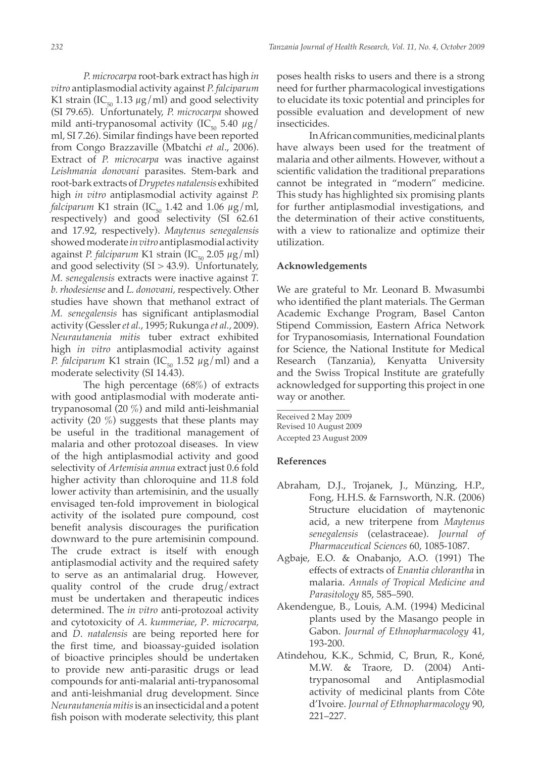*P. microcarpa* root-bark extract has high *in vitro* antiplasmodial activity against *P. falciparum* K1 strain (IC<sub>50</sub> 1.13  $\mu$ g/ml) and good selectivity (SI 79.65). Unfortunately, *P. microcarpa* showed mild anti-trypanosomal activity (IC $_{50}$  5.40  $\mu$ g/ ml, SI 7.26). Similar findings have been reported from Congo Brazzaville (Mbatchi *et al*., 2006). Extract of *P. microcarpa* was inactive against *Leishmania donovani* parasites. Stem-bark and root-bark extracts of *Drypetes natalensis* exhibited high *in vitro* antiplasmodial activity against *P. falciparum* K1 strain (IC<sub>50</sub> 1.42 and 1.06  $\mu$ g/ml, respectively) and good selectivity (SI 62.61 and 17.92, respectively). *Maytenus senegalensis* showed moderate *in vitro* antiplasmodial activity against *P. falciparum* K1 strain (IC $_{50}$  2.05  $\mu$ g/ml) and good selectivity  $(SI > 43.9)$ . Unfortunately, *M. senegalensis* extracts were inactive against *T. b. rhodesiense* and *L. donovani,* respectively. Other studies have shown that methanol extract of *M. senegalensis* has significant antiplasmodial activity (Gessler *et al.*, 1995; Rukunga *et al.*, 2009). *Neurautanenia mitis* tuber extract exhibited high *in vitro* antiplasmodial activity against *P. falciparum* K1 strain (IC<sub>50</sub> 1.52  $\mu$ g/ml) and a moderate selectivity (SI 14.43).

The high percentage (68%) of extracts with good antiplasmodial with moderate antitrypanosomal (20 %) and mild anti-leishmanial activity  $(20 \%)$  suggests that these plants may be useful in the traditional management of malaria and other protozoal diseases. In view of the high antiplasmodial activity and good selectivity of *Artemisia annua* extract just 0.6 fold higher activity than chloroquine and 11.8 fold lower activity than artemisinin, and the usually envisaged ten-fold improvement in biological activity of the isolated pure compound, cost benefit analysis discourages the purification downward to the pure artemisinin compound. The crude extract is itself with enough antiplasmodial activity and the required safety to serve as an antimalarial drug. However, quality control of the crude drug/extract must be undertaken and therapeutic indices determined. The *in vitro* anti-protozoal activity and cytotoxicity of *A*. *kummeriae*, *P*. *microcarpa,*  and *D*. *natalensis* are being reported here for the first time, and bioassay-guided isolation of bioactive principles should be undertaken to provide new anti-parasitic drugs or lead compounds for anti-malarial anti-trypanosomal and anti-leishmanial drug development. Since *Neurautanenia mitis* is an insecticidal and a potent fish poison with moderate selectivity, this plant

poses health risks to users and there is a strong need for further pharmacological investigations to elucidate its toxic potential and principles for possible evaluation and development of new insecticides.

In African communities, medicinal plants have always been used for the treatment of malaria and other ailments. However, without a scientific validation the traditional preparations cannot be integrated in "modern" medicine. This study has highlighted six promising plants for further antiplasmodial investigations, and the determination of their active constituents, with a view to rationalize and optimize their utilization.

## **Acknowledgements**

We are grateful to Mr. Leonard B. Mwasumbi who identified the plant materials. The German Academic Exchange Program, Basel Canton Stipend Commission, Eastern Africa Network for Trypanosomiasis, International Foundation for Science, the National Institute for Medical Research (Tanzania), Kenyatta University and the Swiss Tropical Institute are gratefully acknowledged for supporting this project in one way or another.

\_\_\_\_\_\_\_\_\_\_\_\_\_\_\_\_\_\_ Received 2 May 2009 Revised 10 August 2009 Accepted 23 August 2009

## **References**

- Abraham, D.J., Trojanek, J., Münzing, H.P., Fong, H.H.S. & Farnsworth, N.R. (2006) Structure elucidation of maytenonic acid, a new triterpene from *Maytenus senegalensis* (celastraceae). *Journal of Pharmaceutical Sciences* 60, 1085-1087.
- Agbaje, E.O. & Onabanjo, A.O. (1991) The effects of extracts of *Enantia chlorantha* in malaria. *Annals of Tropical Medicine and Parasitology* 85, 585–590.
- Akendengue, B., Louis, A.M. (1994) Medicinal plants used by the Masango people in Gabon. *Journal of Ethnopharmacology* 41, 193-200.
- Atindehou, K.K., Schmid, C, Brun, R., Koné, M.W. & Traore, D. (2004) Antitrypanosomal and Antiplasmodial activity of medicinal plants from Côte d'Ivoire. *Journal of Ethnopharmacology* 90, 221–227.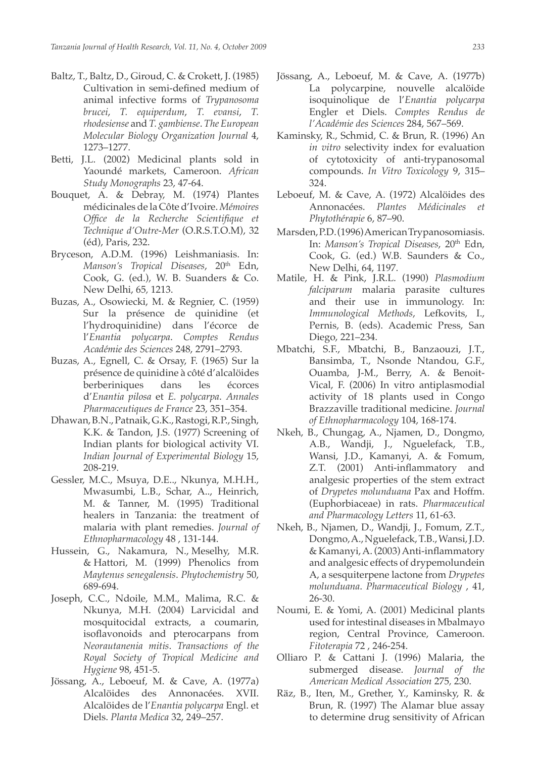- Baltz, T., Baltz, D., Giroud, C. & Crokett, J. (1985) Cultivation in semi-defined medium of animal infective forms of *Trypanosoma brucei*, *T. equiperdum*, *T. evansi*, *T. rhodesiense* and *T. gambiense*. *The European Molecular Biology Organization Journal* 4, 1273–1277.
- Betti, J.L. (2002) Medicinal plants sold in Yaoundé markets, Cameroon. *African Study Monographs* 23, 47-64.
- Bouquet, A. & Debray, M. (1974) Plantes médicinales de la Côte d'Ivoire. *Mémoires Office de la Recherche Scientifique et Technique d'Outre-Mer* (O.R.S.T.O.M), 32 (éd), Paris, 232.
- Bryceson, A.D.M. (1996) Leishmaniasis. In: *Manson's Tropical Diseases*, 20th Edn, Cook, G. (ed.), W. B. Suanders & Co. New Delhi, 65*,* 1213.
- Buzas, A., Osowiecki, M. & Regnier, C. (1959) Sur la présence de quinidine (et l'hydroquinidine) dans l'écorce de l'*Enantia polycarpa*. *Comptes Rendus Académie des Sciences* 248, 2791–2793.
- Buzas, A., Egnell, C. & Orsay, F. (1965) Sur la présence de quinidine à côté d'alcalöides berberiniques dans les écorces d'*Enantia pilosa* et *E. polycarpa*. *Annales Pharmaceutiques de France* 23, 351–354.
- Dhawan, B.N., Patnaik, G.K., Rastogi, R.P., Singh, K.K. & Tandon, J.S. (1977) Screening of Indian plants for biological activity VI. *Indian Journal of Experimental Biology* 15, 208-219.
- Gessler, M.C., Msuya, D.E.., Nkunya, M.H.H., Mwasumbi, L.B., Schar, A.., Heinrich, M. & Tanner, M. (1995) Traditional healers in Tanzania: the treatment of malaria with plant remedies. *Journal of Ethnopharmacology* 48 , 131-144.
- Hussein, G., Nakamura, N., Meselhy, M.R. & Hattori, M. (1999) Phenolics from *Maytenus senegalensis*. *Phytochemistry* 50, 689-694.
- Joseph, C.C., Ndoile, M.M., Malima, R.C. & Nkunya, M.H. (2004) Larvicidal and mosquitocidal extracts, a coumarin, isoflavonoids and pterocarpans from *Neorautanenia mitis*. *Transactions of the Royal Society of Tropical Medicine and Hygiene* 98, 451-5.
- Jössang, A., Leboeuf, M. & Cave, A. (1977a) Alcalöides des Annonacées. XVII. Alcalöides de l'*Enantia polycarpa* Engl. et Diels. *Planta Medica* 32, 249–257.
- Jössang, A., Leboeuf, M. & Cave, A. (1977b) La polycarpine, nouvelle alcalöide isoquinolique de l'*Enantia polycarpa*  Engler et Diels. *Comptes Rendus de l'Académie des Sciences* 284, 567–569.
- Kaminsky, R., Schmid, C. & Brun, R. (1996) An *in vitro* selectivity index for evaluation of cytotoxicity of anti-trypanosomal compounds. *In Vitro Toxicology* 9, 315– 324.
- Leboeuf, M. & Cave, A. (1972) Alcalöides des Annonacées. *Plantes Médicinales et Phytothérapie* 6, 87–90.
- Marsden, P.D. (1996) American Trypanosomiasis. In: *Manson's Tropical Diseases*, 20<sup>th</sup> Edn, Cook, G. (ed.) W.B. Saunders & Co., New Delhi, 64, 1197.
- Matile, H. & Pink, J.R.L. (1990) *Plasmodium falciparum* malaria parasite cultures and their use in immunology. In: *Immunological Methods*, Lefkovits, I., Pernis, B. (eds). Academic Press, San Diego, 221–234.
- Mbatchi, S.F., Mbatchi, B., Banzaouzi, J.T., Bansimba, T., Nsonde Ntandou, G.F., Ouamba, J-M., Berry, A. & Benoit-Vical, F. (2006) In vitro antiplasmodial activity of 18 plants used in Congo Brazzaville traditional medicine. *Journal of Ethnopharmacology* 104, 168-174.
- Nkeh, B., Chungag, A., Njamen, D., Dongmo, A.B., Wandji, J., Nguelefack, T.B., Wansi, J.D., Kamanyi, A. & Fomum, Z.T. (2001) Anti-inflammatory and analgesic properties of the stem extract of *Drypetes molunduana* Pax and Hoffm. (Euphorbiaceae) in rats. *Pharmaceutical and Pharmacology Letters* 11, 61-63.
- Nkeh, B., Njamen, D., Wandji, J., Fomum, Z.T., Dongmo, A., Nguelefack, T.B., Wansi, J.D. & Kamanyi,A.(2003)Anti-inflammatory and analgesic effects of drypemolundein A, a sesquiterpene lactone from *Drypetes molunduana*. *Pharmaceutical Biology* , 41, 26-30.
- Noumi, E. & Yomi, A. (2001) Medicinal plants used for intestinal diseases in Mbalmayo region, Central Province, Cameroon. *Fitoterapia* 72 , 246-254.
- Olliaro P. & Cattani J. (1996) Malaria, the submerged disease. *Journal of the American Medical Association* 275*,* 230.
- Räz, B., Iten, M., Grether, Y., Kaminsky, R. & Brun, R. (1997) The Alamar blue assay to determine drug sensitivity of African